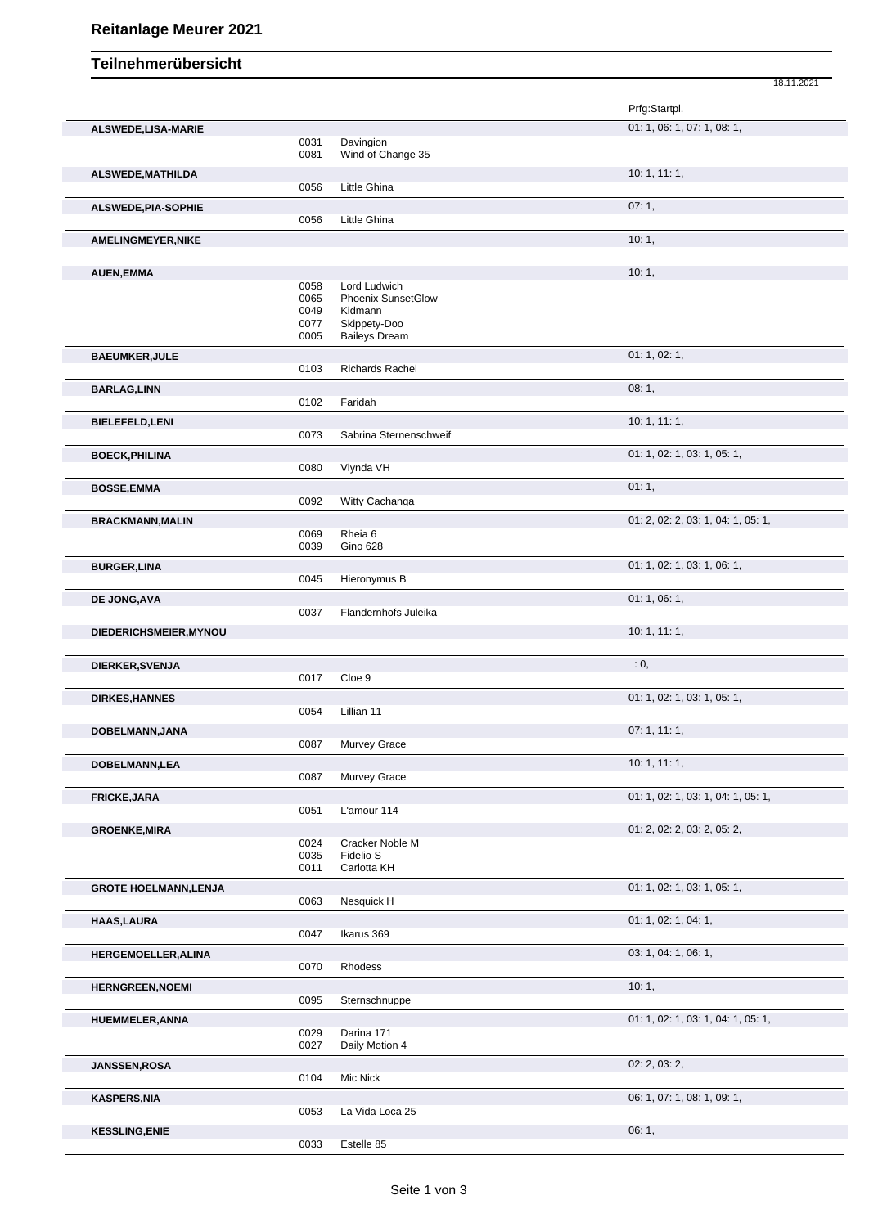## 18.11.2021 **Teilnehmerübersicht** Prfg:Startpl. **ALSWEDE,LISA-MARIE** 01: 1, 06: 1, 07: 1, 08: 1, 0031 Davingion 0081 Wind of Change 35 **ALSWEDE,MATHILDA** 10: 1, 11: 1, 0056 Little Ghina **ALSWEDE, PIA-SOPHIE** 07: 1, 0056 Little Ghina **AMELINGMEYER,NIKE** 10: 1, **AUEN,EMMA** 10: 1, 1, 20058 Lord Ludwich 20058 Lord Ludwich Lord Ludwich 0065 Phoenix SunsetGlow<br>0049 Kidmann 0049 Kidmann<br>0077 Skippety-0077 Skippety-Doo<br>0005 Baileys Drean Baileys Dream **BAEUMKER,JULE** 01: 1, 02: 1, 02: 1, 02: 1, 02: 1, 02: 1, 02: 1, 02: 1, 02: 1, 02: 1, 02: 1, 02: 1, 02: 1, 02: 1, Richards Rachel **BARLAG,LINN** 08: 1, Faridah **BIELEFELD,LENI** 10: 1, 11: 1, Sabrina Sternenschweif **BOECK,PHILINA** 01: 1, 02: 1, 03: 1, 05: 1, 05: 1, 05: 1, 05: 1, 05: 1, 05: 1, 05: 1, 05: 1, 05: 1, 05: 1, 05: 1, 05: 1, 05: 1, 05: 1, 05: 1, 05: 1, 05: 1, 05: 1, 05: 1, 05: 1, 05: 1, 05: 1, 05: 1, 05: 1, 05: 1, 05: 1, 05: Vlynda VH **BOSSE,EMMA** 01: 1, 0092 Witty Cachanga **BRACKMANN,MALIN** 01: 2, 02: 2, 03: 1, 04: 1, 05: 1, 0069 Rheia 6 0039 Gino 628 **BURGER,LINA** 01: 1, 02: 1, 03: 1, 06: 1, 06: 1, 06: 1, 06: 1, 06: 1, 06: 1, 06: 1, 06: 1, 06: 1, 05: 1, 05: 1, 05: 1, 05: 1, 05: 1, 05: 1, 05: 1, 05: 1, 05: 1, 05: 1, 05: 1, 05: 1, 05: 1, 05: 1, 05: 1, 05: 1, 05: 1, 05: 1 Hieronymus B **DE JONG,AVA** 01: 1, 06: 1, 06: 1, 06: 1, 06: 1, 06: 1, 06: 1, 06: 1, 06: 1, 06: 1, 06: 1, 06: 1, 06: 1, 06: 1, 06: 1, 06: 1, 06: 1, 06: 1, 06: 1, 06: 1, 06: 1, 06: 1, 06: 1, 06: 1, 06: 1, 06: 1, 06: 1, 06: 1, 06: 1, 06: 1 Flandernhofs Juleika **DIEDERICHSMEIER,MYNOU** 10: 1, 11: 1, **DIERKER,SVENJA** : 0, 0017 Cloe 9 **DIRKES,HANNES** 01: 1, 02: 1, 03: 1, 05: 1, 0054 Lillian 11 **DOBELMANN,JANA** 07: 1, 11: 1,<br>
0087 Murvey Grace Murvey Grace **DOBELMANN,LEA** 10: 1, 11: 1, Murvey Grace **FRICKE,JARA** 01: 1, 02: 1, 03: 1, 04: 1, 05: 1, 05: 1, 05: 1, 05: 1, 05: 1, 05: 1, 05: 1, 05: 1, 05: 1, 05: 1, L'amour 114 GROENKE, MIRA **CROENKE, MIRA** 01: 2, 03: 2, 05: 2, 05: 2, 05: 2, 05: 2, 05: 2, 05: 2, 05: 2, 05: 2, 05: 2, 05: 2, 05: 2, 05: 2, 05: 2, 05: 2, 05: 2, 05: 2, 05: 2, 05: 2, 05: 2, 05: 2, 05: 2, 05: 2, 05: 2, 05: 2, 05: 2, 05: 0024 Cracker Noble M<br>0035 Fidelio S 0035 Fidelio S<br>0011 Carlotta k Carlotta KH **GROTE HOELMANN, LENJA** 0063 Nesquick H 0063 Resquire Management 20063 01: 1, 02: 1, 03: 1, 05: 1, 05: 1, 05: 1, 05: 1, 05: 1, 05: 1, 05: 1, 05: 1, 05: 1, 05: 1, 05: 1, 05: 1, 05: 1, 05: 1, 05: 1, 05: 1, 05: 1, 05: 1, 05: Nesquick H **HAAS,LAURA** 01: 1, 02: 1, 04: 1, 0047 Ikarus 369 **HERGEMOELLER,ALINA** 03: 1, 04: 1, 06: 1, 0070 Rhodess **HERNGREEN, NOEMI** 10: 1, 2002 **1, 2003** 1, 2004 1, 2004 1, 2006 1, 2006 1, 2006 1, 2006 1, 2006 1, 2006 1, 2006 1, 2006 1, 2006 1, 2006 1, 2006 1, 2006 1, 2006 1, 2006 1, 2006 1, 2006 1, 2006 1, 2006 1, 2006 1, 2006 1, 20 0095 Sternschnuppe **HUEMMELER,ANNA** 0029 Darina 171 02: 1, 03: 1, 03: 1, 04: 1, 05: 1, 05: 1, 05: 1, 05: 1, 05: 1, 05: 1, 05: 1, 05: 1, Darina 171 0027 Daily Motion 4 **JANSSEN,ROSA** 02: 2, 03: 2,

**KASPERS,NIA** 06: 1, 07: 1, 08: 1, 09: 1, 09: 1, 09: 1, 09: 1, 09: 1, 09: 1, 09: 1, 09: 1, 09: 1, 09: 1, 09: 1, 09: 1, 09: 1, 09: 1, 09: 1, 09: 1, 09: 1, 09: 1, 09: 1, 09: 1, 09: 1, 09: 1, 09: 1, 09: 1, 09: 1, 09: 1, 09: 1

0104 Mic Nick

0033 Estelle 85

0053 La Vida Loca 25 **KESSLING,ENIE** 06: 1,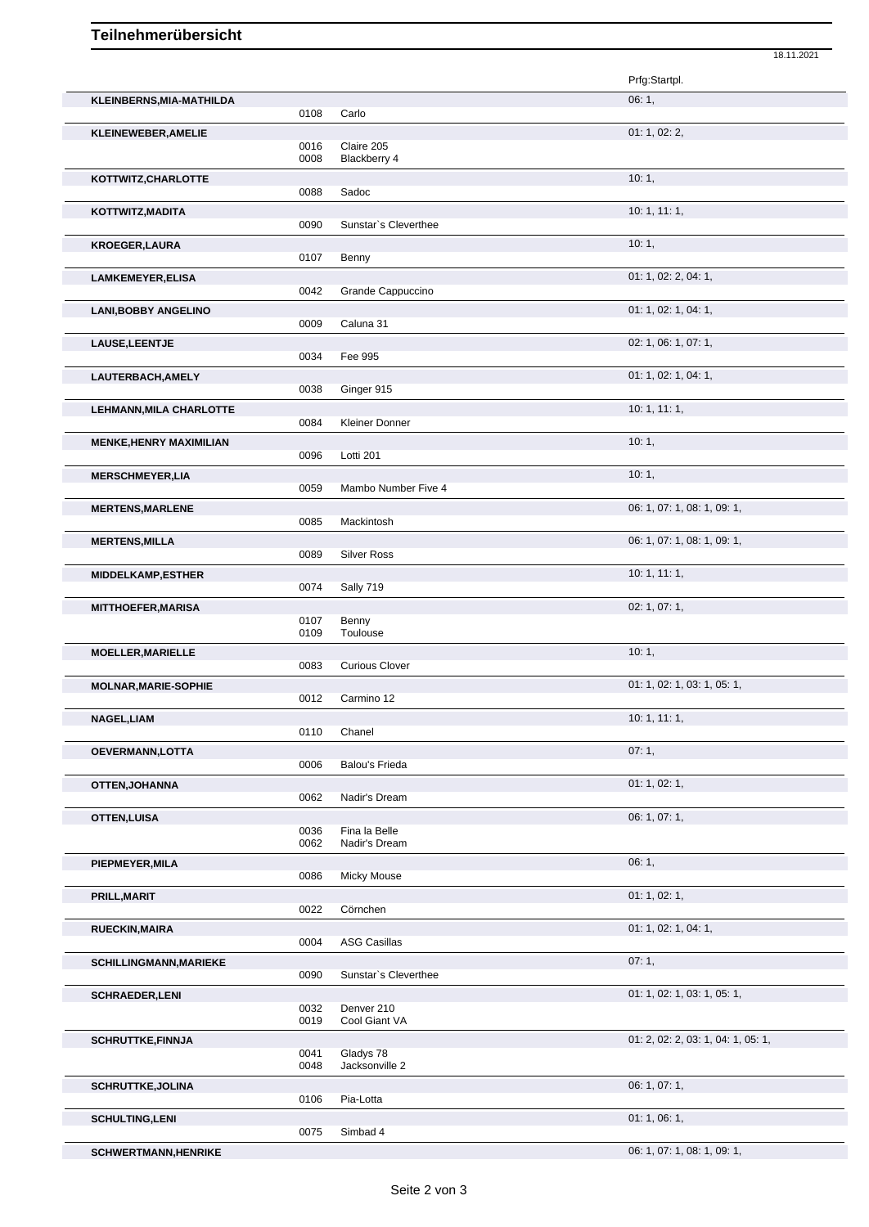## Teilnehmerübersicht

|                                |              |                             | 18.11.2021                         |
|--------------------------------|--------------|-----------------------------|------------------------------------|
|                                |              |                             | Prfg:Startpl.                      |
| KLEINBERNS, MIA-MATHILDA       |              |                             | 06: 1,                             |
|                                | 0108         | Carlo                       |                                    |
| <b>KLEINEWEBER, AMELIE</b>     |              |                             | 01: 1, 02: 2,                      |
|                                | 0016         | Claire 205                  |                                    |
|                                | 0008         | Blackberry 4                |                                    |
| KOTTWITZ, CHARLOTTE            |              |                             | 10:1,                              |
|                                | 0088         | Sadoc                       |                                    |
| KOTTWITZ, MADITA               |              |                             | 10:1, 11:1,                        |
|                                | 0090         | Sunstar's Cleverthee        |                                    |
| <b>KROEGER, LAURA</b>          |              |                             | 10:1,                              |
|                                | 0107         | Benny                       |                                    |
| <b>LAMKEMEYER, ELISA</b>       |              |                             | 01: 1, 02: 2, 04: 1,               |
|                                | 0042         | Grande Cappuccino           |                                    |
| <b>LANI, BOBBY ANGELINO</b>    |              |                             | 01: 1, 02: 1, 04: 1,               |
|                                | 0009         | Caluna 31                   |                                    |
| LAUSE, LEENTJE                 |              |                             | 02: 1, 06: 1, 07: 1,               |
|                                | 0034         | Fee 995                     |                                    |
| LAUTERBACH, AMELY              |              |                             | 01: 1, 02: 1, 04: 1,               |
|                                | 0038         | Ginger 915                  |                                    |
| <b>LEHMANN, MILA CHARLOTTE</b> |              |                             | 10: 1, 11: 1,                      |
|                                | 0084         | Kleiner Donner              |                                    |
| <b>MENKE, HENRY MAXIMILIAN</b> |              |                             | 10:1,                              |
|                                | 0096         | Lotti 201                   |                                    |
| <b>MERSCHMEYER,LIA</b>         |              |                             | 10:1,                              |
|                                | 0059         | Mambo Number Five 4         |                                    |
| <b>MERTENS, MARLENE</b>        |              |                             | 06: 1, 07: 1, 08: 1, 09: 1,        |
|                                | 0085         | Mackintosh                  |                                    |
| <b>MERTENS, MILLA</b>          |              |                             | 06: 1, 07: 1, 08: 1, 09: 1,        |
|                                | 0089         | <b>Silver Ross</b>          |                                    |
| <b>MIDDELKAMP, ESTHER</b>      |              |                             | 10:1, 11:1,                        |
|                                | 0074         | Sally 719                   |                                    |
| <b>MITTHOEFER, MARISA</b>      |              |                             | 02: 1, 07: 1,                      |
|                                | 0107         | Benny                       |                                    |
|                                | 0109         | Toulouse                    |                                    |
| <b>MOELLER, MARIELLE</b>       |              |                             | 10:1,                              |
|                                | 0083         | <b>Curious Clover</b>       |                                    |
| <b>MOLNAR, MARIE-SOPHIE</b>    |              |                             | 01: 1, 02: 1, 03: 1, 05: 1,        |
|                                | 0012         | Carmino 12                  |                                    |
| NAGEL, LIAM                    |              |                             | 10: 1, 11: 1,                      |
|                                | 0110         | Chanel                      |                                    |
| OEVERMANN, LOTTA               |              |                             | 07:1,                              |
|                                | 0006         | Balou's Frieda              |                                    |
| <b>OTTEN, JOHANNA</b>          |              |                             | 01: 1, 02: 1,                      |
|                                | 0062         | Nadir's Dream               |                                    |
| <b>OTTEN, LUISA</b>            |              |                             | 06: 1, 07: 1,                      |
|                                | 0036         | Fina la Belle               |                                    |
|                                | 0062         | Nadir's Dream               |                                    |
| PIEPMEYER, MILA                |              |                             | 06:1,                              |
|                                | 0086         | <b>Micky Mouse</b>          |                                    |
| PRILL, MARIT                   |              |                             | 01: 1, 02: 1,                      |
|                                | 0022         | Cörnchen                    |                                    |
| <b>RUECKIN, MAIRA</b>          |              |                             | 01: 1, 02: 1, 04: 1,               |
|                                | 0004         | <b>ASG Casillas</b>         |                                    |
| <b>SCHILLINGMANN, MARIEKE</b>  |              |                             | 07:1,                              |
|                                | 0090         | Sunstar's Cleverthee        |                                    |
| <b>SCHRAEDER,LENI</b>          |              |                             | 01: 1, 02: 1, 03: 1, 05: 1,        |
|                                | 0032<br>0019 | Denver 210<br>Cool Giant VA |                                    |
|                                |              |                             |                                    |
| <b>SCHRUTTKE, FINNJA</b>       | 0041         | Gladys 78                   | 01: 2, 02: 2, 03: 1, 04: 1, 05: 1, |
|                                | 0048         | Jacksonville 2              |                                    |
| <b>SCHRUTTKE, JOLINA</b>       |              |                             | 06: 1, 07: 1,                      |
|                                | 0106         | Pia-Lotta                   |                                    |
|                                |              |                             | 01:1,06:1,                         |
| <b>SCHULTING,LENI</b>          | 0075         | Simbad 4                    |                                    |
|                                |              |                             | 06: 1, 07: 1, 08: 1, 09: 1,        |
| <b>SCHWERTMANN, HENRIKE</b>    |              |                             |                                    |